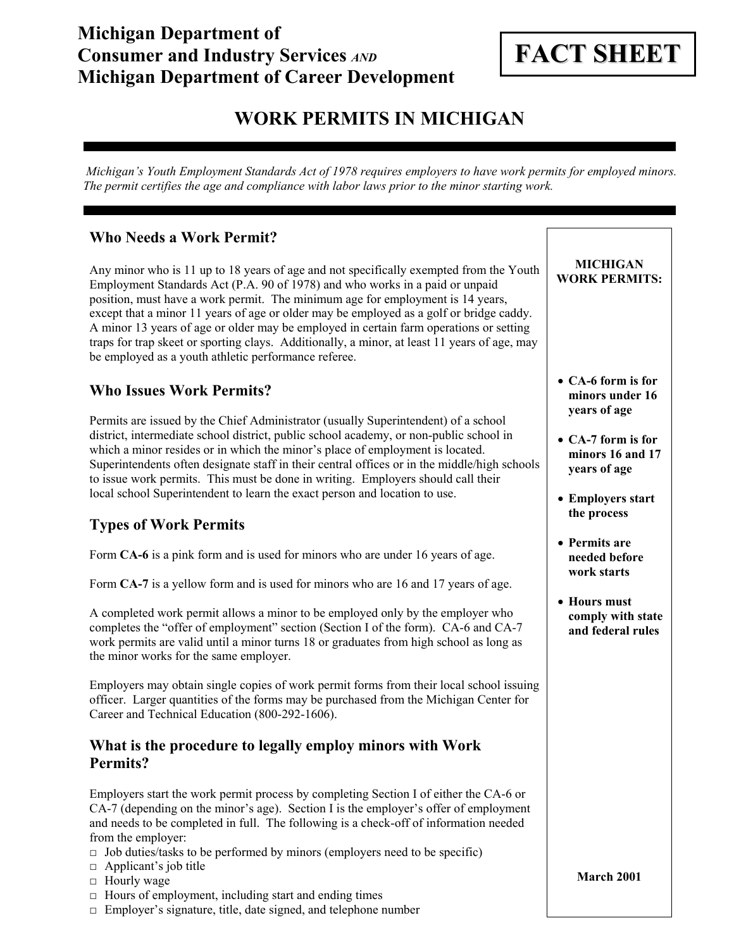## **Michigan Department of Consumer and Industry Services** *AND* **Michigan Department of Career Development**

# **FACT SHEET**

## **WORK PERMITS IN MICHIGAN**

 *Michigan's Youth Employment Standards Act of 1978 requires employers to have work permits for employed minors. The permit certifies the age and compliance with labor laws prior to the minor starting work.* 

## **Who Needs a Work Permit?**

Any minor who is 11 up to 18 years of age and not specifically exempted from the Youth Employment Standards Act (P.A. 90 of 1978) and who works in a paid or unpaid position, must have a work permit. The minimum age for employment is 14 years, except that a minor 11 years of age or older may be employed as a golf or bridge caddy. A minor 13 years of age or older may be employed in certain farm operations or setting traps for trap skeet or sporting clays. Additionally, a minor, at least 11 years of age, may be employed as a youth athletic performance referee.

## **Who Issues Work Permits?**

Permits are issued by the Chief Administrator (usually Superintendent) of a school district, intermediate school district, public school academy, or non-public school in which a minor resides or in which the minor's place of employment is located. Superintendents often designate staff in their central offices or in the middle/high schools to issue work permits. This must be done in writing. Employers should call their local school Superintendent to learn the exact person and location to use.

## **Types of Work Permits**

Form **CA-6** is a pink form and is used for minors who are under 16 years of age.

Form **CA-7** is a yellow form and is used for minors who are 16 and 17 years of age.

A completed work permit allows a minor to be employed only by the employer who completes the "offer of employment" section (Section I of the form). CA-6 and CA-7 work permits are valid until a minor turns 18 or graduates from high school as long as the minor works for the same employer.

Employers may obtain single copies of work permit forms from their local school issuing officer. Larger quantities of the forms may be purchased from the Michigan Center for Career and Technical Education (800-292-1606).

## **What is the procedure to legally employ minors with Work Permits?**

Employers start the work permit process by completing Section I of either the CA-6 or CA-7 (depending on the minor's age). Section I is the employer's offer of employment and needs to be completed in full. The following is a check-off of information needed from the employer:

- $\Box$  Job duties/tasks to be performed by minors (employers need to be specific)
- □ Applicant's job title
- □ Hourly wage
- $\Box$  Hours of employment, including start and ending times
- □ Employer's signature, title, date signed, and telephone number

• **CA-6 form is for** 

**MICHIGAN WORK PERMITS:** 

- **minors under 16 years of age**
- **CA-7 form is for minors 16 and 17 years of age**
- **Employers start the process**
- **Permits are needed before work starts**
- **Hours must comply with state and federal rules**

**March 2001**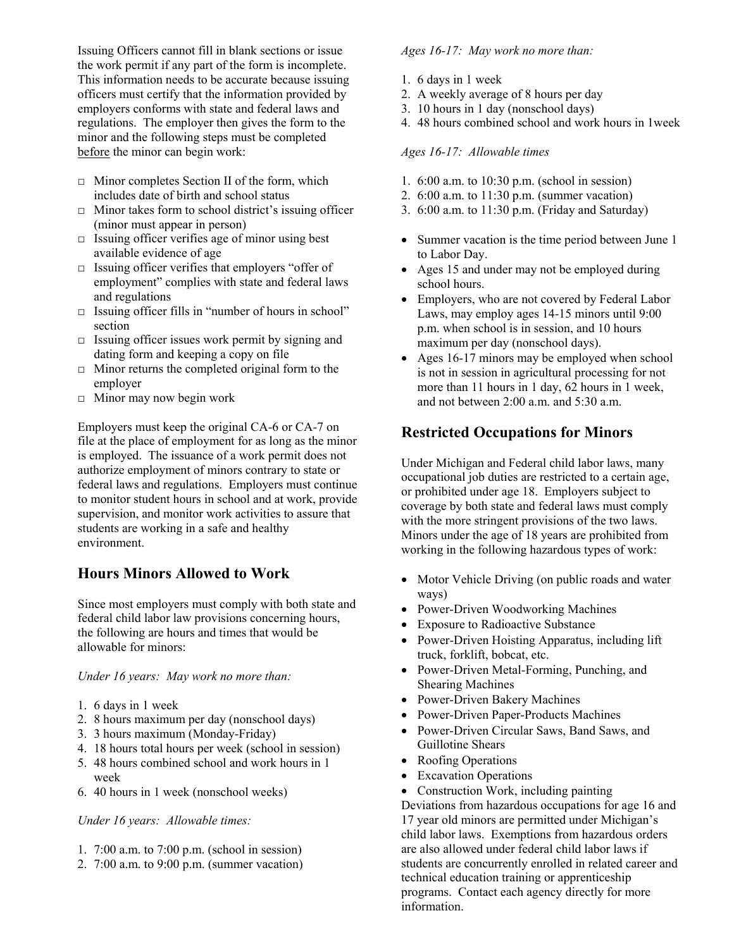Issuing Officers cannot fill in blank sections or issue the work permit if any part of the form is incomplete. This information needs to be accurate because issuing officers must certify that the information provided by employers conforms with state and federal laws and regulations. The employer then gives the form to the minor and the following steps must be completed before the minor can begin work:

- $\Box$  Minor completes Section II of the form, which includes date of birth and school status
- $\Box$  Minor takes form to school district's issuing officer (minor must appear in person)
- $\Box$  Issuing officer verifies age of minor using best available evidence of age
- □ Issuing officer verifies that employers "offer of employment" complies with state and federal laws and regulations
- □ Issuing officer fills in "number of hours in school" section
- $\Box$  Issuing officer issues work permit by signing and dating form and keeping a copy on file
- $\Box$  Minor returns the completed original form to the employer
- $\Box$  Minor may now begin work

Employers must keep the original CA-6 or CA-7 on file at the place of employment for as long as the minor is employed. The issuance of a work permit does not authorize employment of minors contrary to state or federal laws and regulations. Employers must continue to monitor student hours in school and at work, provide supervision, and monitor work activities to assure that students are working in a safe and healthy environment.

## **Hours Minors Allowed to Work**

Since most employers must comply with both state and federal child labor law provisions concerning hours, the following are hours and times that would be allowable for minors:

#### *Under 16 years: May work no more than:*

- 1. 6 days in 1 week
- 2. 8 hours maximum per day (nonschool days)
- 3. 3 hours maximum (Monday-Friday)
- 4. 18 hours total hours per week (school in session)
- 5. 48 hours combined school and work hours in 1 week
- 6. 40 hours in 1 week (nonschool weeks)

#### *Under 16 years: Allowable times:*

- 1. 7:00 a.m. to 7:00 p.m. (school in session)
- 2. 7:00 a.m. to 9:00 p.m. (summer vacation)

#### *Ages 16-17: May work no more than:*

- 1. 6 days in 1 week
- 2. A weekly average of 8 hours per day
- 3. 10 hours in 1 day (nonschool days)
- 4. 48 hours combined school and work hours in 1week

#### *Ages 16-17: Allowable times*

- 1. 6:00 a.m. to 10:30 p.m. (school in session)
- 2. 6:00 a.m. to 11:30 p.m. (summer vacation)
- 3. 6:00 a.m. to 11:30 p.m. (Friday and Saturday)
- Summer vacation is the time period between June 1 to Labor Day.
- Ages 15 and under may not be employed during school hours.
- Employers, who are not covered by Federal Labor Laws, may employ ages 14-15 minors until 9:00 p.m. when school is in session, and 10 hours maximum per day (nonschool days).
- Ages 16-17 minors may be employed when school is not in session in agricultural processing for not more than 11 hours in 1 day, 62 hours in 1 week, and not between 2:00 a.m. and 5:30 a.m.

## **Restricted Occupations for Minors**

Under Michigan and Federal child labor laws, many occupational job duties are restricted to a certain age, or prohibited under age 18. Employers subject to coverage by both state and federal laws must comply with the more stringent provisions of the two laws. Minors under the age of 18 years are prohibited from working in the following hazardous types of work:

- Motor Vehicle Driving (on public roads and water ways)
- Power-Driven Woodworking Machines
- Exposure to Radioactive Substance
- Power-Driven Hoisting Apparatus, including lift truck, forklift, bobcat, etc.
- Power-Driven Metal-Forming, Punching, and Shearing Machines
- Power-Driven Bakery Machines
- Power-Driven Paper-Products Machines
- Power-Driven Circular Saws, Band Saws, and Guillotine Shears
- Roofing Operations
- Excavation Operations
- Construction Work, including painting

Deviations from hazardous occupations for age 16 and 17 year old minors are permitted under Michigan's child labor laws. Exemptions from hazardous orders are also allowed under federal child labor laws if students are concurrently enrolled in related career and technical education training or apprenticeship programs. Contact each agency directly for more information.